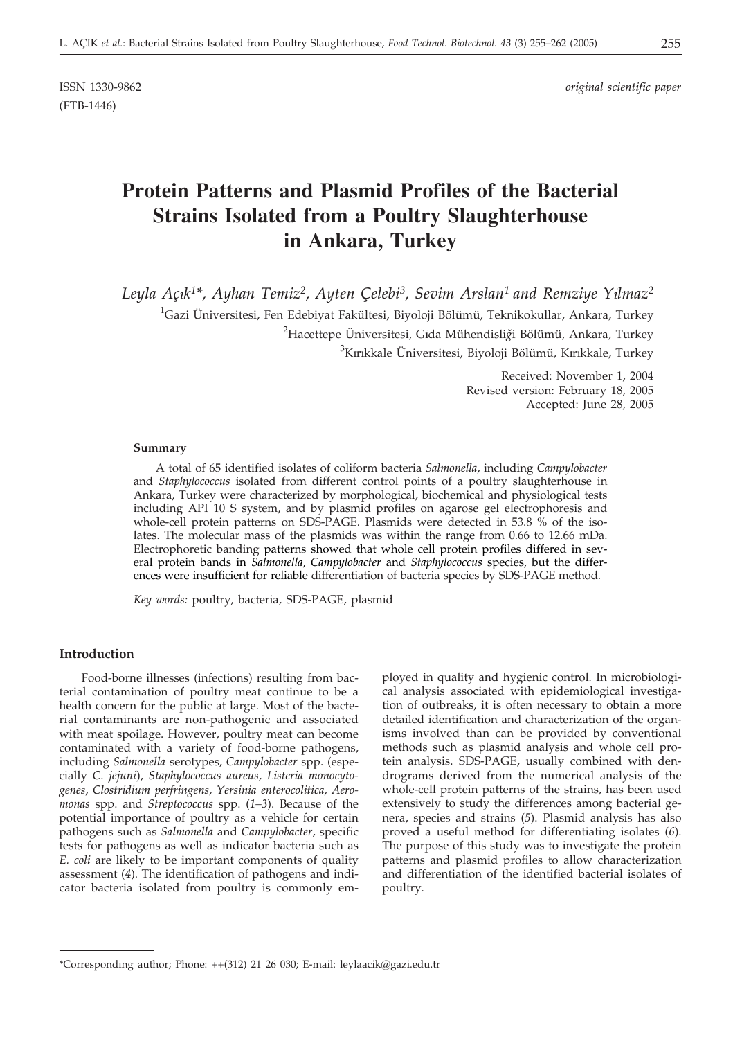(FTB-1446)

ISSN 1330-9862 *original scientific paper*

# **Protein Patterns and Plasmid Profiles of the Bacterial Strains Isolated from a Poultry Slaughterhouse in Ankara, Turkey**

Leyla Açık<sup>1\*</sup>, Ayhan Temiz<sup>2</sup>, Ayten Çelebi<sup>3</sup>, Sevim Arslan<sup>1</sup> and Remziye Yılmaz<sup>2</sup>  $^1$ Gazi Üniversitesi, Fen Edebiyat Fakültesi, Biyoloji Bölümü, Teknikokullar, Ankara, Turkey <sup>2</sup>Hacettepe Üniversitesi, Gıda Mühendisliği Bölümü, Ankara, Turkey

<sup>3</sup>Kırıkkale Üniversitesi, Biyoloji Bölümü, Kırıkkale, Turkey

Received: November 1, 2004 Revised version: February 18, 2005 Accepted: June 28, 2005

#### **Summary**

A total of 65 identified isolates of coliform bacteria *Salmonella*, including *Campylobacter* and *Staphylococcus* isolated from different control points of a poultry slaughterhouse in Ankara, Turkey were characterized by morphological, biochemical and physiological tests including API 10 S system, and by plasmid profiles on agarose gel electrophoresis and whole-cell protein patterns on SDS-PAGE. Plasmids were detected in 53.8 % of the isolates. The molecular mass of the plasmids was within the range from 0.66 to 12.66 mDa. Electrophoretic banding patterns showed that whole cell protein profiles differed in several protein bands in *Salmonella, Campylobacter* and *Staphylococcus* species, but the differences were insufficient for reliable differentiation of bacteria species by SDS-PAGE method.

*Key words:* poultry, bacteria, SDS-PAGE, plasmid

### **Introduction**

Food-borne illnesses (infections) resulting from bacterial contamination of poultry meat continue to be a health concern for the public at large. Most of the bacterial contaminants are non-pathogenic and associated with meat spoilage. However, poultry meat can become contaminated with a variety of food-borne pathogens, including *Salmonella* serotypes, *Campylobacter* spp. (especially *C*. *jejuni*), *Staphylococcus aureus*, *Listeria monocytogenes*, *Clostridium perfringens, Yersinia enterocolitica, Aeromonas* spp. and *Streptococcus* spp. (*1–3*). Because of the potential importance of poultry as a vehicle for certain pathogens such as *Salmonella* and *Campylobacter*, specific tests for pathogens as well as indicator bacteria such as *E. coli* are likely to be important components of quality assessment (*4*). The identification of pathogens and indicator bacteria isolated from poultry is commonly em-

ployed in quality and hygienic control. In microbiological analysis associated with epidemiological investigation of outbreaks, it is often necessary to obtain a more detailed identification and characterization of the organisms involved than can be provided by conventional methods such as plasmid analysis and whole cell protein analysis. SDS-PAGE, usually combined with dendrograms derived from the numerical analysis of the whole-cell protein patterns of the strains, has been used extensively to study the differences among bacterial genera, species and strains (*5*). Plasmid analysis has also proved a useful method for differentiating isolates (*6*). The purpose of this study was to investigate the protein patterns and plasmid profiles to allow characterization and differentiation of the identified bacterial isolates of poultry.

<sup>\*</sup>Corresponding author; Phone: ++(312) 21 26 030; E-mail: leylaacik*@*gazi.edu.tr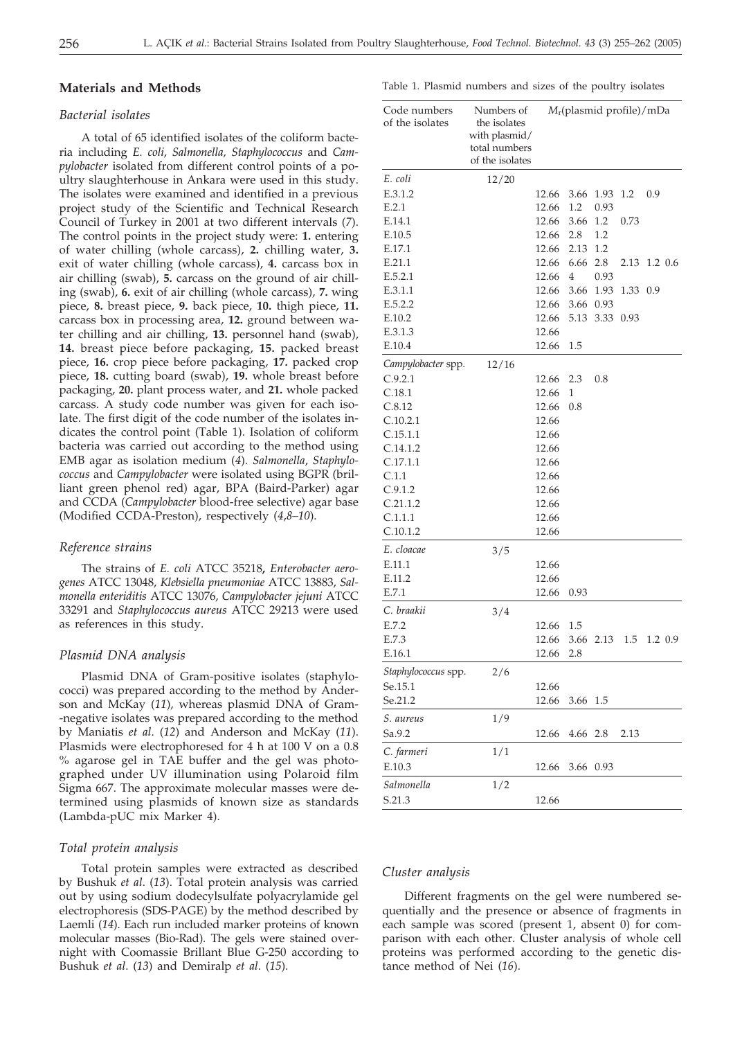#### **Materials and Methods**

# *Bacterial isolates*

A total of 65 identified isolates of the coliform bacteria including *E. coli*, *Salmonella, Staphylococcus* and *Campylobacter* isolated from different control points of a poultry slaughterhouse in Ankara were used in this study. The isolates were examined and identified in a previous project study of the Scientific and Technical Research Council of Turkey in 2001 at two different intervals (*7*). The control points in the project study were: **1.** entering of water chilling (whole carcass), **2.** chilling water, **3.** exit of water chilling (whole carcass), **4.** carcass box in air chilling (swab), **5.** carcass on the ground of air chilling (swab), **6.** exit of air chilling (whole carcass), **7.** wing piece, **8.** breast piece, **9.** back piece, **10.** thigh piece, **11.** carcass box in processing area, **12.** ground between water chilling and air chilling, **13.** personnel hand (swab), **14.** breast piece before packaging, **15.** packed breast piece, **16.** crop piece before packaging, **17.** packed crop piece, **18.** cutting board (swab), **19.** whole breast before packaging, **20.** plant process water, and **21.** whole packed carcass. A study code number was given for each isolate. The first digit of the code number of the isolates indicates the control point (Table 1). Isolation of coliform bacteria was carried out according to the method using EMB agar as isolation medium (*4*). *Salmonella*, *Staphylococcus* and *Campylobacter* were isolated using BGPR (brilliant green phenol red) agar, BPA (Baird-Parker) agar and CCDA (*Campylobacter* blood-free selective) agar base (Modified CCDA-Preston), respectively (*4*,*8–10*).

#### *Reference strains*

The strains of *E. coli* ATCC 35218**,** *Enterobacter aerogenes* ATCC 13048, *Klebsiella pneumoniae* ATCC 13883, *Salmonella enteriditis* ATCC 13076, *Campylobacter jejuni* ATCC 33291 and *Staphylococcus aureus* ATCC 29213 were used as references in this study.

#### *Plasmid DNA analysis*

Plasmid DNA of Gram-positive isolates (staphylococci) was prepared according to the method by Anderson and McKay (*11*), whereas plasmid DNA of Gram- -negative isolates was prepared according to the method by Maniatis *et al*. (*12*) and Anderson and McKay (*11*). Plasmids were electrophoresed for 4 h at 100 V on a 0.8 % agarose gel in TAE buffer and the gel was photographed under UV illumination using Polaroid film Sigma 667. The approximate molecular masses were determined using plasmids of known size as standards (Lambda-pUC mix Marker 4).

#### *Total protein analysis*

Total protein samples were extracted as described by Bushuk *et al*. (*13*). Total protein analysis was carried out by using sodium dodecylsulfate polyacrylamide gel electrophoresis (SDS-PAGE) by the method described by Laemli (*14*). Each run included marker proteins of known molecular masses (Bio-Rad). The gels were stained overnight with Coomassie Brillant Blue G-250 according to Bushuk *et al*. (*13*) and Demiralp *et al*. (*15*).

Table 1. Plasmid numbers and sizes of the poultry isolates

| Code numbers<br>of the isolates | Numbers of<br>the isolates<br>with plasmid/<br>total numbers<br>of the isolates |                | $M_r$ (plasmid profile)/mDa |           |              |     |         |
|---------------------------------|---------------------------------------------------------------------------------|----------------|-----------------------------|-----------|--------------|-----|---------|
| E. coli                         | 12/20                                                                           |                |                             |           |              |     |         |
| E.3.1.2                         |                                                                                 | 12.66          | 3.66                        | 1.93      | 1.2          | 0.9 |         |
| E.2.1                           |                                                                                 | 12.66          | 1.2                         | 0.93      |              |     |         |
| E.14.1                          |                                                                                 | 12.66          | 3.66                        | 1.2       | 0.73         |     |         |
| E.10.5                          |                                                                                 | 12.66          | 2.8                         | 1.2       |              |     |         |
| E.17.1                          |                                                                                 | 12.66          | 2.13                        | 1.2       |              |     |         |
| E.21.1                          |                                                                                 | 12.66          | 6.66                        | 2.8       | 2.13 1.2 0.6 |     |         |
| E.5.2.1                         |                                                                                 | 12.66          | 4                           | 0.93      |              |     |         |
| E.3.1.1                         |                                                                                 | 12.66          | 3.66                        | 1.93      | 1.33         | 0.9 |         |
| E.5.2.2                         |                                                                                 | 12.66          | 3.66                        | 0.93      |              |     |         |
| E.10.2                          |                                                                                 | 12.66          | 5.13                        | 3.33      | 0.93         |     |         |
| E.3.1.3                         |                                                                                 | 12.66          |                             |           |              |     |         |
| E.10.4                          |                                                                                 | 12.66          | 1.5                         |           |              |     |         |
| Campylobacter spp.              |                                                                                 |                |                             |           |              |     |         |
|                                 | 12/16                                                                           |                | 2.3                         |           |              |     |         |
| C.9.2.1                         |                                                                                 | 12.66<br>12.66 |                             | 0.8       |              |     |         |
| C.18.1                          |                                                                                 |                | 1                           |           |              |     |         |
| C.8.12                          |                                                                                 | 12.66<br>12.66 | 0.8                         |           |              |     |         |
| C.10.2.1                        |                                                                                 |                |                             |           |              |     |         |
| C.15.1.1                        |                                                                                 | 12.66          |                             |           |              |     |         |
| C.14.1.2                        |                                                                                 | 12.66          |                             |           |              |     |         |
| C.17.1.1                        |                                                                                 | 12.66          |                             |           |              |     |         |
| C.1.1                           |                                                                                 | 12.66          |                             |           |              |     |         |
| C.9.1.2                         |                                                                                 | 12.66          |                             |           |              |     |         |
| C.21.1.2                        |                                                                                 | 12.66          |                             |           |              |     |         |
| C.1.1.1                         |                                                                                 | 12.66          |                             |           |              |     |         |
| C.10.1.2                        |                                                                                 | 12.66          |                             |           |              |     |         |
| E. cloacae                      | 3/5                                                                             |                |                             |           |              |     |         |
| E.11.1                          |                                                                                 | 12.66          |                             |           |              |     |         |
| E.11.2                          |                                                                                 | 12.66          |                             |           |              |     |         |
| E.7.1                           |                                                                                 | 12.66          | 0.93                        |           |              |     |         |
| C. braakii                      | 3/4                                                                             |                |                             |           |              |     |         |
| E.7.2                           |                                                                                 | 12.66          | 1.5                         |           |              |     |         |
| E.7.3                           |                                                                                 | 12.66          |                             | 3.66 2.13 | 1.5          |     | 1.2 0.9 |
| E.16.1                          |                                                                                 | 12.66          | 2.8                         |           |              |     |         |
| Staphylococcus spp.             | 2/6                                                                             |                |                             |           |              |     |         |
| Se.15.1                         |                                                                                 | 12.66          |                             |           |              |     |         |
| Se.21.2                         |                                                                                 | 12.66          | 3.66                        | 1.5       |              |     |         |
| S. aureus                       | 1/9                                                                             |                |                             |           |              |     |         |
| Sa.9.2                          |                                                                                 | 12.66          | 4.66                        | 2.8       | 2.13         |     |         |
|                                 |                                                                                 |                |                             |           |              |     |         |
| C. farmeri                      | 1/1                                                                             |                |                             |           |              |     |         |
| E.10.3                          |                                                                                 | 12.66          | 3.66                        | 0.93      |              |     |         |
| Salmonella                      | 1/2                                                                             |                |                             |           |              |     |         |
| S.21.3                          |                                                                                 | 12.66          |                             |           |              |     |         |

#### *Cluster analysis*

Different fragments on the gel were numbered sequentially and the presence or absence of fragments in each sample was scored (present 1, absent 0) for comparison with each other. Cluster analysis of whole cell proteins was performed according to the genetic distance method of Nei (*16*).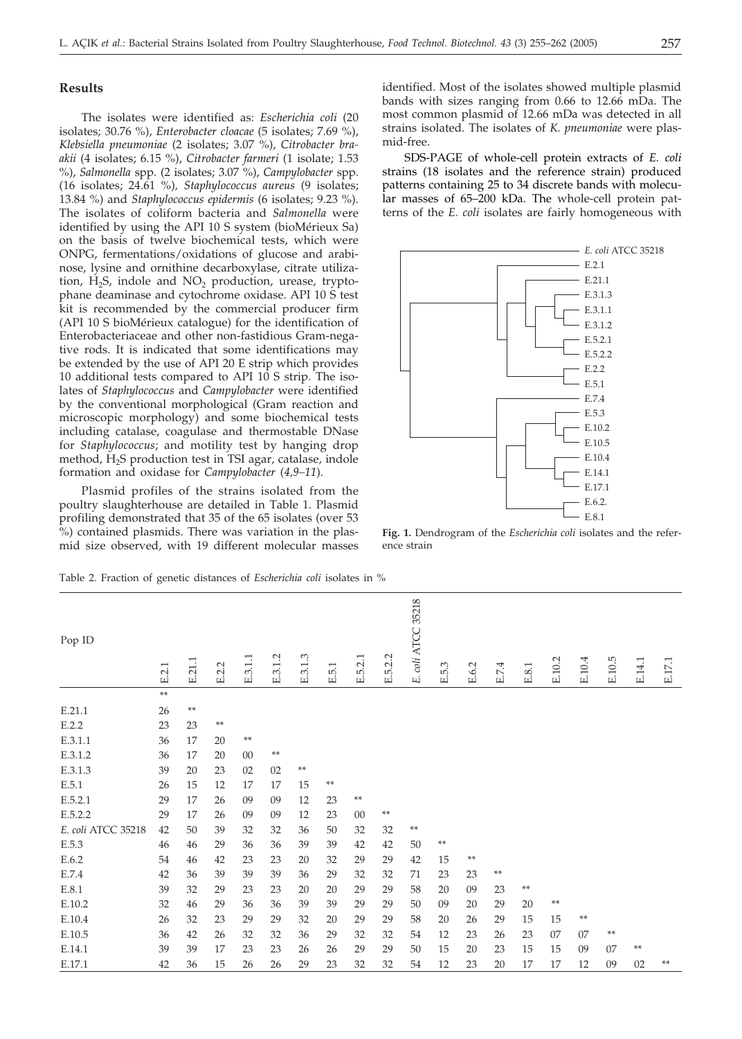# **Results**

The isolates were identified as: *Escherichia coli* (20 isolates; 30.76 %), *Enterobacter cloacae* (5 isolates; 7.69 %), *Klebsiella pneumoniae* (2 isolates; 3.07 %), *Citrobacter braakii* (4 isolates; 6.15 %), *Citrobacter farmeri* (1 isolate; 1.53 %), *Salmonella* spp. (2 isolates; 3.07 %), *Campylobacter* spp. (16 isolates; 24.61 %)*, Staphylococcus aureus* (9 isolates; 13.84 %) and *Staphylococcus epidermis* (6 isolates; 9.23 %). The isolates of coliform bacteria and *Salmonella* were identified by using the API 10 S system (bioMérieux Sa) on the basis of twelve biochemical tests, which were ONPG, fermentations/oxidations of glucose and arabinose, lysine and ornithine decarboxylase, citrate utilization,  $H_2S$ , indole and  $NO_2$  production, urease, tryptophane deaminase and cytochrome oxidase. API 10 S test kit is recommended by the commercial producer firm (API 10 S bioMérieux catalogue) for the identification of Enterobacteriaceae and other non-fastidious Gram-negative rods. It is indicated that some identifications may be extended by the use of API 20 E strip which provides 10 additional tests compared to API 10 S strip. The isolates of *Staphylococcus* and *Campylobacter* were identified by the conventional morphological (Gram reaction and microscopic morphology) and some biochemical tests including catalase, coagulase and thermostable DNase for *Staphylococcus*; and motility test by hanging drop method,  $H_2S$  production test in TSI agar, catalase, indole formation and oxidase for *Campylobacter* (*4,9–11*).

Plasmid profiles of the strains isolated from the poultry slaughterhouse are detailed in Table 1. Plasmid profiling demonstrated that 35 of the 65 isolates (over 53 %) contained plasmids. There was variation in the plasmid size observed, with 19 different molecular masses identified. Most of the isolates showed multiple plasmid bands with sizes ranging from 0.66 to 12.66 mDa. The most common plasmid of 12.66 mDa was detected in all strains isolated. The isolates of *K. pneumoniae* were plasmid-free.

SDS-PAGE of whole-cell protein extracts of *E. coli* strains (18 isolates and the reference strain) produced patterns containing 25 to 34 discrete bands with molecular masses of 65–200 kDa. The whole-cell protein patterns of the *E. coli* isolates are fairly homogeneous with



**Fig. 1.** Dendrogram of the *Escherichia coli* isolates and the reference strain

| Pop ID             | E.2.1 | E.21.1 | E.2.2 | E.3.1.1 | E.3.1.2 | E.3.1.3    | E.5.1 | E.5.2.1 | 5.2.2<br>щi | E. coli ATCC 35218 | E.5.3 | E.6.2 | E.7.4 | $\text{E.8.1}$ | E.10.2 | E.10.4 | E.10.5 | E.14.1 | $\operatorname{E.17.1}$ |
|--------------------|-------|--------|-------|---------|---------|------------|-------|---------|-------------|--------------------|-------|-------|-------|----------------|--------|--------|--------|--------|-------------------------|
|                    | $* *$ |        |       |         |         |            |       |         |             |                    |       |       |       |                |        |        |        |        |                         |
| E.21.1             | 26    | $**$   |       |         |         |            |       |         |             |                    |       |       |       |                |        |        |        |        |                         |
| E.2.2              | 23    | 23     | **    |         |         |            |       |         |             |                    |       |       |       |                |        |        |        |        |                         |
| E.3.1.1            | 36    | 17     | 20    | **      |         |            |       |         |             |                    |       |       |       |                |        |        |        |        |                         |
| E.3.1.2            | 36    | 17     | 20    | $00\,$  | **      |            |       |         |             |                    |       |       |       |                |        |        |        |        |                         |
| E.3.1.3            | 39    | 20     | 23    | 02      | 02      | $\ast\ast$ |       |         |             |                    |       |       |       |                |        |        |        |        |                         |
| E.5.1              | 26    | 15     | 12    | 17      | 17      | 15         | **    |         |             |                    |       |       |       |                |        |        |        |        |                         |
| E.5.2.1            | 29    | 17     | 26    | 09      | 09      | 12         | 23    | **      |             |                    |       |       |       |                |        |        |        |        |                         |
| E.5.2.2            | 29    | 17     | 26    | 09      | 09      | 12         | 23    | 00      | **          |                    |       |       |       |                |        |        |        |        |                         |
| E. coli ATCC 35218 | 42    | 50     | 39    | 32      | 32      | 36         | 50    | 32      | 32          | **                 |       |       |       |                |        |        |        |        |                         |
| E.5.3              | 46    | 46     | 29    | 36      | 36      | 39         | 39    | 42      | 42          | 50                 | **    |       |       |                |        |        |        |        |                         |
| E.6.2              | 54    | 46     | 42    | 23      | 23      | 20         | 32    | 29      | 29          | 42                 | 15    | **    |       |                |        |        |        |        |                         |
| E.7.4              | 42    | 36     | 39    | 39      | 39      | 36         | 29    | 32      | 32          | 71                 | 23    | 23    | **    |                |        |        |        |        |                         |
| E.8.1              | 39    | 32     | 29    | 23      | 23      | 20         | 20    | 29      | 29          | 58                 | 20    | 09    | 23    | **             |        |        |        |        |                         |
| E.10.2             | 32    | 46     | 29    | 36      | 36      | 39         | 39    | 29      | 29          | 50                 | 09    | 20    | 29    | 20             | $**$   |        |        |        |                         |
| E.10.4             | 26    | 32     | 23    | 29      | 29      | 32         | 20    | 29      | 29          | 58                 | 20    | 26    | 29    | 15             | 15     | **     |        |        |                         |
| E.10.5             | 36    | 42     | 26    | 32      | 32      | 36         | 29    | 32      | 32          | 54                 | 12    | 23    | 26    | 23             | 07     | 07     | **     |        |                         |
| E.14.1             | 39    | 39     | 17    | 23      | 23      | 26         | 26    | 29      | 29          | 50                 | 15    | 20    | 23    | 15             | 15     | 09     | 07     | **     |                         |
| E.17.1             | 42    | 36     | 15    | 26      | 26      | 29         | 23    | 32      | 32          | 54                 | 12    | 23    | 20    | 17             | 17     | 12     | 09     | 02     | **                      |

Table 2. Fraction of genetic distances of *Escherichia coli* isolates in %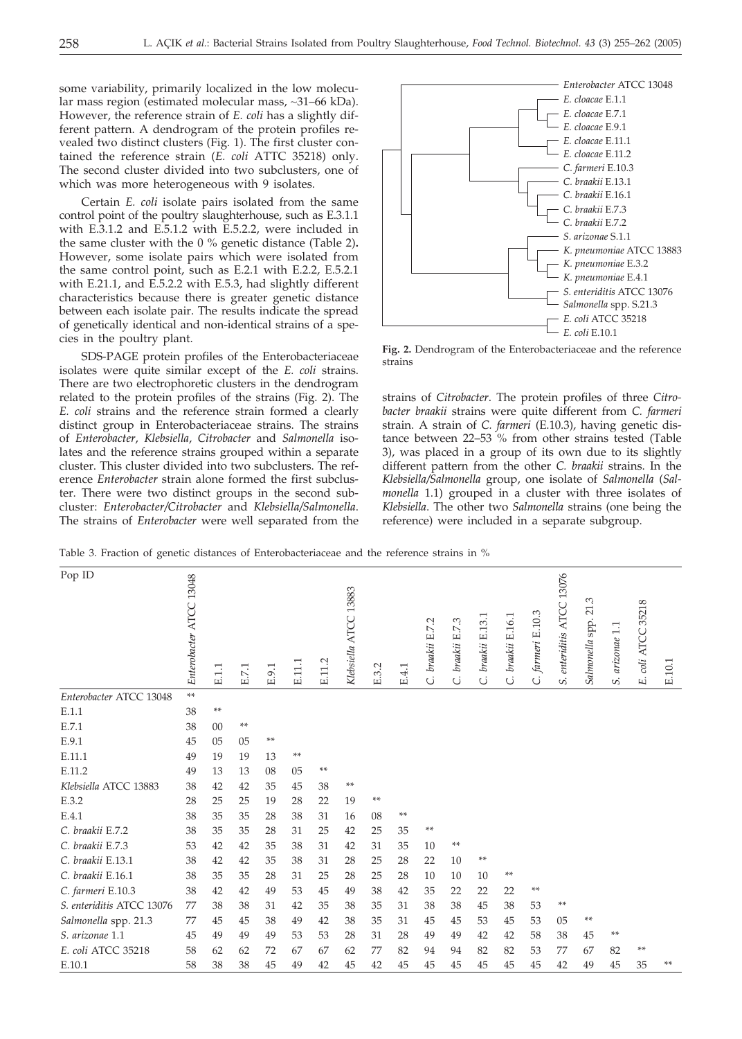some variability, primarily localized in the low molecular mass region (estimated molecular mass, *~*31–66 kDa). However, the reference strain of *E. coli* has a slightly different pattern. A dendrogram of the protein profiles revealed two distinct clusters (Fig. 1). The first cluster contained the reference strain (*E. coli* ATTC 35218) only. The second cluster divided into two subclusters, one of which was more heterogeneous with 9 isolates.

Certain *E. coli* isolate pairs isolated from the same control point of the poultry slaughterhouse, such as E.3.1.1 with E.3.1.2 and E.5.1.2 with E.5.2.2, were included in the same cluster with the 0 % genetic distance (Table 2)**.** However, some isolate pairs which were isolated from the same control point, such as E.2.1 with E.2.2, E.5.2.1 with E.21.1, and E.5.2.2 with E.5.3, had slightly different characteristics because there is greater genetic distance between each isolate pair. The results indicate the spread of genetically identical and non-identical strains of a species in the poultry plant.

SDS-PAGE protein profiles of the Enterobacteriaceae isolates were quite similar except of the *E. coli* strains. There are two electrophoretic clusters in the dendrogram related to the protein profiles of the strains (Fig. 2). The *E. coli* strains and the reference strain formed a clearly distinct group in Enterobacteriaceae strains. The strains of *Enterobacter*, *Klebsiella*, *Citrobacter* and *Salmonella* isolates and the reference strains grouped within a separate cluster. This cluster divided into two subclusters. The reference *Enterobacter* strain alone formed the first subcluster. There were two distinct groups in the second subcluster: *Enterobacter/Citrobacter* and *Klebsiella/Salmonella*. The strains of *Enterobacter* were well separated from the



**Fig. 2.** Dendrogram of the Enterobacteriaceae and the reference strains

strains of *Citrobacter*. The protein profiles of three *Citrobacter braakii* strains were quite different from *C. farmeri* strain. A strain of *C. farmeri* (E.10.3), having genetic distance between 22–53 % from other strains tested (Table 3), was placed in a group of its own due to its slightly different pattern from the other *C. braakii* strains. In the *Klebsiella/Salmonella* group, one isolate of *Salmonella* (*Salmonella* 1.1) grouped in a cluster with three isolates of *Klebsiella*. The other two *Salmonella* strains (one being the reference) were included in a separate subgroup.

Table 3. Fraction of genetic distances of Enterobacteriaceae and the reference strains in %

| Pop ID                    | Enterobacter ATCC 13048 | E.1.1 | E.7.1 | E.9.1 | E.11.1 | E.11.2 | 13883<br>Klebsiella ATCC | E.3.2 | E.4.1 | C. braakii E.7.2 | C. braakii E.7.3 | C. braakii E.13.1 | C. braakii E.16.1 | C. farmeri E.10.3 | S. enteriditis ATCC 13076 | 21.3<br>Salmonella spp. | arizonae 1.1<br>S | E. coli ATCC 35218 | E.10.1 |
|---------------------------|-------------------------|-------|-------|-------|--------|--------|--------------------------|-------|-------|------------------|------------------|-------------------|-------------------|-------------------|---------------------------|-------------------------|-------------------|--------------------|--------|
| Enterobacter ATCC 13048   | **                      |       |       |       |        |        |                          |       |       |                  |                  |                   |                   |                   |                           |                         |                   |                    |        |
| E.1.1                     | 38                      | **    |       |       |        |        |                          |       |       |                  |                  |                   |                   |                   |                           |                         |                   |                    |        |
| E.7.1                     | 38                      | 00    | **    |       |        |        |                          |       |       |                  |                  |                   |                   |                   |                           |                         |                   |                    |        |
| E.9.1                     | 45                      | 05    | 05    | **    |        |        |                          |       |       |                  |                  |                   |                   |                   |                           |                         |                   |                    |        |
| E.11.1                    | 49                      | 19    | 19    | 13    | **     |        |                          |       |       |                  |                  |                   |                   |                   |                           |                         |                   |                    |        |
| E.11.2                    | 49                      | 13    | 13    | 08    | 05     | **     |                          |       |       |                  |                  |                   |                   |                   |                           |                         |                   |                    |        |
| Klebsiella ATCC 13883     | 38                      | 42    | 42    | 35    | 45     | 38     | **                       |       |       |                  |                  |                   |                   |                   |                           |                         |                   |                    |        |
| E.3.2                     | 28                      | 25    | 25    | 19    | 28     | 22     | 19                       | **    |       |                  |                  |                   |                   |                   |                           |                         |                   |                    |        |
| E.4.1                     | 38                      | 35    | 35    | 28    | 38     | 31     | 16                       | 08    | **    |                  |                  |                   |                   |                   |                           |                         |                   |                    |        |
| C. braakii E.7.2          | 38                      | 35    | 35    | 28    | 31     | 25     | 42                       | 25    | 35    | **               |                  |                   |                   |                   |                           |                         |                   |                    |        |
| C. braakii E.7.3          | 53                      | 42    | 42    | 35    | 38     | 31     | 42                       | 31    | 35    | 10               | **               |                   |                   |                   |                           |                         |                   |                    |        |
| C. braakii E.13.1         | 38                      | 42    | 42    | 35    | 38     | 31     | 28                       | 25    | 28    | 22               | 10               | **                |                   |                   |                           |                         |                   |                    |        |
| C. braakii E.16.1         | 38                      | 35    | 35    | 28    | 31     | 25     | 28                       | 25    | 28    | 10               | 10               | 10                | **                |                   |                           |                         |                   |                    |        |
| C. farmeri E.10.3         | 38                      | 42    | 42    | 49    | 53     | 45     | 49                       | 38    | 42    | 35               | 22               | 22                | 22                | **                |                           |                         |                   |                    |        |
| S. enteriditis ATCC 13076 | 77                      | 38    | 38    | 31    | 42     | 35     | 38                       | 35    | 31    | 38               | 38               | 45                | 38                | 53                | **                        |                         |                   |                    |        |
| Salmonella spp. 21.3      | 77                      | 45    | 45    | 38    | 49     | 42     | 38                       | 35    | 31    | 45               | 45               | 53                | 45                | 53                | 05                        | **                      |                   |                    |        |
| S. arizonae 1.1           | 45                      | 49    | 49    | 49    | 53     | 53     | 28                       | 31    | 28    | 49               | 49               | 42                | 42                | 58                | 38                        | 45                      | **                |                    |        |
| E. coli ATCC 35218        | 58                      | 62    | 62    | 72    | 67     | 67     | 62                       | 77    | 82    | 94               | 94               | 82                | 82                | 53                | 77                        | 67                      | 82                | **                 |        |
| E.10.1                    | 58                      | 38    | 38    | 45    | 49     | 42     | 45                       | 42    | 45    | 45               | 45               | 45                | 45                | 45                | 42                        | 49                      | 45                | 35                 | **     |
|                           |                         |       |       |       |        |        |                          |       |       |                  |                  |                   |                   |                   |                           |                         |                   |                    |        |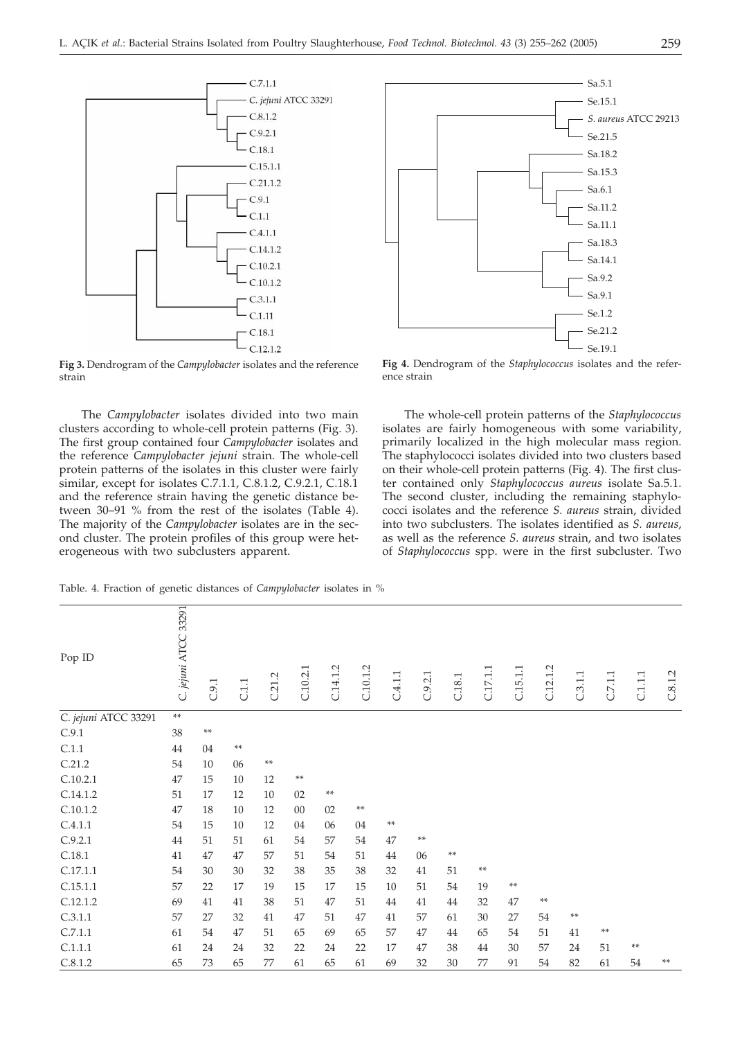

**Fig 3.** Dendrogram of the *Campylobacter* isolates and the reference strain

The *Campylobacter* isolates divided into two main clusters according to whole-cell protein patterns (Fig. 3). The first group contained four *Campylobacter* isolates and the reference *Campylobacter jejuni* strain. The whole-cell protein patterns of the isolates in this cluster were fairly similar, except for isolates C.7.1.1, C.8.1.2, C.9.2.1, C.18.1 and the reference strain having the genetic distance between 30–91 % from the rest of the isolates (Table 4). The majority of the *Campylobacter* isolates are in the second cluster. The protein profiles of this group were heterogeneous with two subclusters apparent.



**Fig 4.** Dendrogram of the *Staphylococcus* isolates and the reference strain

The whole-cell protein patterns of the *Staphylococcus* isolates are fairly homogeneous with some variability, primarily localized in the high molecular mass region. The staphylococci isolates divided into two clusters based on their whole-cell protein patterns (Fig. 4). The first cluster contained only *Staphylococcus aureus* isolate Sa.5.1. The second cluster, including the remaining staphylococci isolates and the reference *S. aureus* strain, divided into two subclusters. The isolates identified as *S. aureus*, as well as the reference *S. aureus* strain, and two isolates of *Staphylococcus* spp. were in the first subcluster. Two

| Pop ID               | C. jejuni ATCC 33291 | C.9.1 | C.1.1      | C.21.2     | C.10.2.1 | C.14.1.2 | C.10.1.2   | $\mathbb{C}.4.1.1$ | C.9.2.1 | $\mathbf{C.18.1}$ | C.17.1.1 | C.15.1.1 | C.12.1.2   | C.3.1.1 | C.7.1.1    | $\mathop{\text{\rm C}}\nolimits.1.1$ | C.8.1.2 |
|----------------------|----------------------|-------|------------|------------|----------|----------|------------|--------------------|---------|-------------------|----------|----------|------------|---------|------------|--------------------------------------|---------|
| C. jejuni ATCC 33291 | $\ast\ast$           |       |            |            |          |          |            |                    |         |                   |          |          |            |         |            |                                      |         |
| C.9.1                | 38                   | $**$  |            |            |          |          |            |                    |         |                   |          |          |            |         |            |                                      |         |
| C.1.1                | 44                   | 04    | $\ast\ast$ |            |          |          |            |                    |         |                   |          |          |            |         |            |                                      |         |
| C.21.2               | 54                   | 10    | 06         | $\ast\ast$ |          |          |            |                    |         |                   |          |          |            |         |            |                                      |         |
| C.10.2.1             | 47                   | 15    | 10         | 12         | $**$     |          |            |                    |         |                   |          |          |            |         |            |                                      |         |
| C.14.1.2             | 51                   | 17    | 12         | 10         | 02       | $**$     |            |                    |         |                   |          |          |            |         |            |                                      |         |
| C.10.1.2             | 47                   | 18    | 10         | 12         | $00\,$   | 02       | $\ast\ast$ |                    |         |                   |          |          |            |         |            |                                      |         |
| C.4.1.1              | 54                   | 15    | 10         | 12         | 04       | 06       | 04         | $\ast\ast$         |         |                   |          |          |            |         |            |                                      |         |
| C.9.2.1              | 44                   | 51    | 51         | 61         | 54       | 57       | 54         | 47                 | $**$    |                   |          |          |            |         |            |                                      |         |
| C.18.1               | 41                   | 47    | 47         | 57         | 51       | 54       | 51         | 44                 | 06      | $\ast\ast$        |          |          |            |         |            |                                      |         |
| C.17.1.1             | 54                   | 30    | 30         | 32         | 38       | 35       | 38         | 32                 | 41      | 51                | $**$     |          |            |         |            |                                      |         |
| C.15.1.1             | 57                   | 22    | 17         | 19         | 15       | 17       | 15         | 10                 | 51      | 54                | 19       | $**$     |            |         |            |                                      |         |
| C.12.1.2             | 69                   | 41    | 41         | 38         | 51       | 47       | 51         | 44                 | 41      | 44                | 32       | 47       | $\ast\ast$ |         |            |                                      |         |
| C.3.1.1              | 57                   | 27    | 32         | 41         | 47       | 51       | 47         | 41                 | 57      | 61                | 30       | 27       | 54         | $**$    |            |                                      |         |
| C.7.1.1              | 61                   | 54    | 47         | 51         | 65       | 69       | 65         | 57                 | 47      | 44                | 65       | 54       | 51         | 41      | $\ast\ast$ |                                      |         |
| C.1.1.1              | 61                   | 24    | 24         | 32         | 22       | 24       | 22         | 17                 | 47      | 38                | 44       | 30       | 57         | 24      | 51         | $\ast\ast$                           |         |
| C.8.1.2              | 65                   | 73    | 65         | 77         | 61       | 65       | 61         | 69                 | 32      | 30                | 77       | 91       | 54         | 82      | 61         | 54                                   | **      |

Table. 4. Fraction of genetic distances of *Campylobacter* isolates in %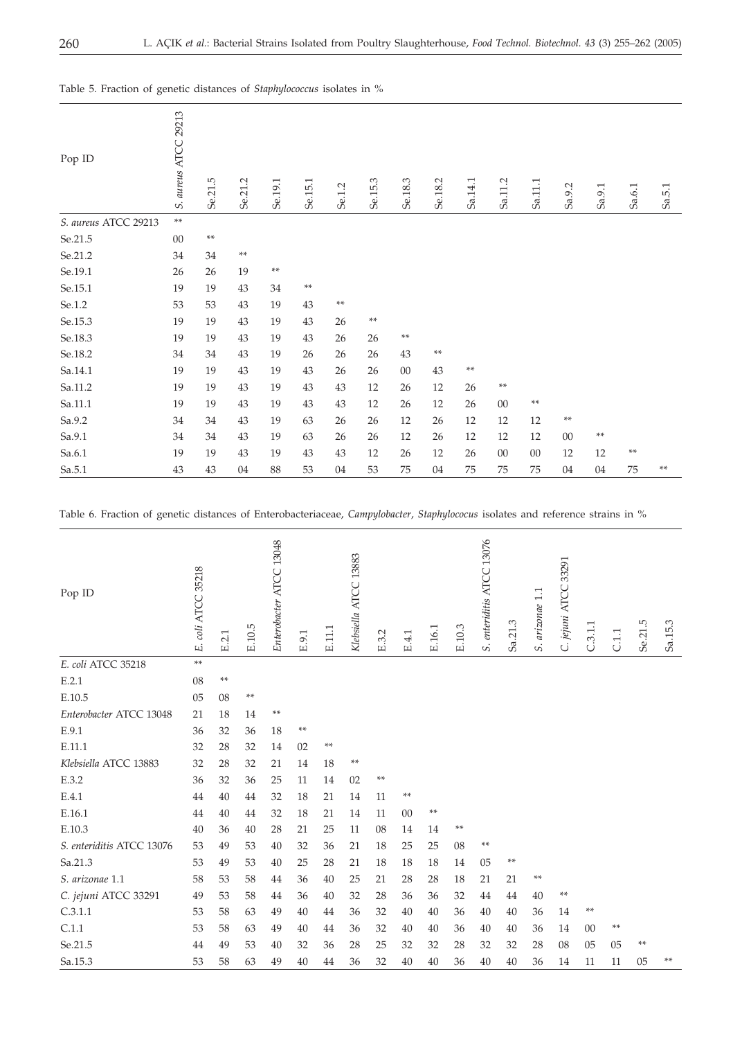| Pop ID               | S. aureus ATCC 29213 | Se.21.5 | Se.21.2    | Se.19.1    | Se.15.1 | Se.1.2     | Se.15.3 | Se.18.3    | Se.18.2    | Sa.14.1 | Sa.11.2 | Sa.11.1 | Sa.9.2     | Sa.9.1 | Sa.6.1 | Sa.5.1 |
|----------------------|----------------------|---------|------------|------------|---------|------------|---------|------------|------------|---------|---------|---------|------------|--------|--------|--------|
| S. aureus ATCC 29213 | $\ast\ast$           |         |            |            |         |            |         |            |            |         |         |         |            |        |        |        |
| Se.21.5              | $00\,$               | $**$    |            |            |         |            |         |            |            |         |         |         |            |        |        |        |
| $Se.21.2$            | 34                   | 34      | $\ast\ast$ |            |         |            |         |            |            |         |         |         |            |        |        |        |
| Se.19.1              | 26                   | 26      | 19         | $\ast\ast$ |         |            |         |            |            |         |         |         |            |        |        |        |
| Se.15.1              | 19                   | 19      | 43         | 34         | $**$    |            |         |            |            |         |         |         |            |        |        |        |
| Se.1.2               | 53                   | 53      | 43         | 19         | 43      | $\ast\ast$ |         |            |            |         |         |         |            |        |        |        |
| Se.15.3              | 19                   | 19      | 43         | 19         | 43      | 26         | $**$    |            |            |         |         |         |            |        |        |        |
| Se.18.3              | 19                   | 19      | 43         | 19         | 43      | 26         | 26      | $\ast\ast$ |            |         |         |         |            |        |        |        |
| $\,$ Se. $18.2$      | 34                   | 34      | 43         | 19         | 26      | 26         | 26      | 43         | $\ast\ast$ |         |         |         |            |        |        |        |
| Sa.14.1              | 19                   | 19      | 43         | 19         | 43      | 26         | 26      | $00\,$     | 43         | $**$    |         |         |            |        |        |        |
| Sa.11.2              | 19                   | 19      | 43         | 19         | 43      | 43         | 12      | 26         | 12         | 26      | $**$    |         |            |        |        |        |
| Sa.11.1              | 19                   | 19      | 43         | 19         | 43      | 43         | 12      | 26         | 12         | 26      | $00\,$  | $**$    |            |        |        |        |
| Sa.9.2               | 34                   | 34      | 43         | 19         | 63      | 26         | 26      | 12         | 26         | 12      | 12      | 12      | $\ast\ast$ |        |        |        |
| Sa.9.1               | 34                   | 34      | 43         | 19         | 63      | 26         | 26      | 12         | 26         | 12      | 12      | 12      | $00\,$     | **     |        |        |
| Sa.6.1               | 19                   | 19      | 43         | 19         | 43      | 43         | 12      | 26         | 12         | 26      | $00\,$  | $00\,$  | 12         | 12     | **     |        |
| Sa.5.1               | 43                   | 43      | 04         | 88         | 53      | 04         | 53      | 75         | 04         | 75      | 75      | 75      | 04         | 04     | 75     | **     |

Table 5. Fraction of genetic distances of *Staphylococcus* isolates in %

Table 6. Fraction of genetic distances of Enterobacteriaceae, *Campylobacter*, *Staphylococus* isolates and reference strains in %

| Pop ID                    | E. coli ATCC 35218 | E.2.1 | E.10.5 | Enterobacter ATCC 13048 | E.9.1 | E.11.1 | Klebsiella ATCC 13883 | E.3.2 | E.4.1 | E.16.1 | E.10.3 | S. enteriditis ATCC 13076 | Sa.21.3 | S. arizonae 1.1 | 33291<br>C. jejuni ATCC | C.3.1.1 | C.1.1 | Se.21.5 | Sa.15.3 |
|---------------------------|--------------------|-------|--------|-------------------------|-------|--------|-----------------------|-------|-------|--------|--------|---------------------------|---------|-----------------|-------------------------|---------|-------|---------|---------|
| E. coli ATCC 35218        | **                 |       |        |                         |       |        |                       |       |       |        |        |                           |         |                 |                         |         |       |         |         |
| E.2.1                     | 08                 | **    |        |                         |       |        |                       |       |       |        |        |                           |         |                 |                         |         |       |         |         |
| E.10.5                    | 05                 | 08    | **     |                         |       |        |                       |       |       |        |        |                           |         |                 |                         |         |       |         |         |
| Enterobacter ATCC 13048   | 21                 | 18    | 14     | **                      |       |        |                       |       |       |        |        |                           |         |                 |                         |         |       |         |         |
| E.9.1                     | 36                 | 32    | 36     | 18                      | **    |        |                       |       |       |        |        |                           |         |                 |                         |         |       |         |         |
| E.11.1                    | 32                 | 28    | 32     | 14                      | 02    | **     |                       |       |       |        |        |                           |         |                 |                         |         |       |         |         |
| Klebsiella ATCC 13883     | 32                 | 28    | 32     | 21                      | 14    | 18     | **                    |       |       |        |        |                           |         |                 |                         |         |       |         |         |
| E.3.2                     | 36                 | 32    | 36     | 25                      | 11    | 14     | 02                    | **    |       |        |        |                           |         |                 |                         |         |       |         |         |
| E.4.1                     | 44                 | 40    | 44     | 32                      | 18    | 21     | 14                    | 11    | **    |        |        |                           |         |                 |                         |         |       |         |         |
| E.16.1                    | 44                 | 40    | 44     | 32                      | 18    | 21     | 14                    | 11    | 00    | **     |        |                           |         |                 |                         |         |       |         |         |
| E.10.3                    | 40                 | 36    | 40     | 28                      | 21    | 25     | 11                    | 08    | 14    | 14     | **     |                           |         |                 |                         |         |       |         |         |
| S. enteriditis ATCC 13076 | 53                 | 49    | 53     | 40                      | 32    | 36     | 21                    | 18    | 25    | 25     | 08     | **                        |         |                 |                         |         |       |         |         |
| Sa.21.3                   | 53                 | 49    | 53     | 40                      | 25    | 28     | 21                    | 18    | 18    | 18     | 14     | 05                        | **      |                 |                         |         |       |         |         |
| S. arizonae 1.1           | 58                 | 53    | 58     | 44                      | 36    | 40     | 25                    | 21    | 28    | 28     | 18     | 21                        | 21      | **              |                         |         |       |         |         |
| C. jejuni ATCC 33291      | 49                 | 53    | 58     | 44                      | 36    | 40     | 32                    | 28    | 36    | 36     | 32     | 44                        | 44      | 40              | **                      |         |       |         |         |
| C.3.1.1                   | 53                 | 58    | 63     | 49                      | 40    | 44     | 36                    | 32    | 40    | 40     | 36     | 40                        | 40      | 36              | 14                      | **      |       |         |         |
| C.1.1                     | 53                 | 58    | 63     | 49                      | 40    | 44     | 36                    | 32    | 40    | 40     | 36     | 40                        | 40      | 36              | 14                      | 00      | **    |         |         |
| Se.21.5                   | 44                 | 49    | 53     | 40                      | 32    | 36     | 28                    | 25    | 32    | 32     | 28     | 32                        | 32      | 28              | 08                      | 05      | 05    | **      |         |
| Sa.15.3                   | 53                 | 58    | 63     | 49                      | 40    | 44     | 36                    | 32    | 40    | 40     | 36     | 40                        | 40      | 36              | 14                      | 11      | 11    | 05      | **      |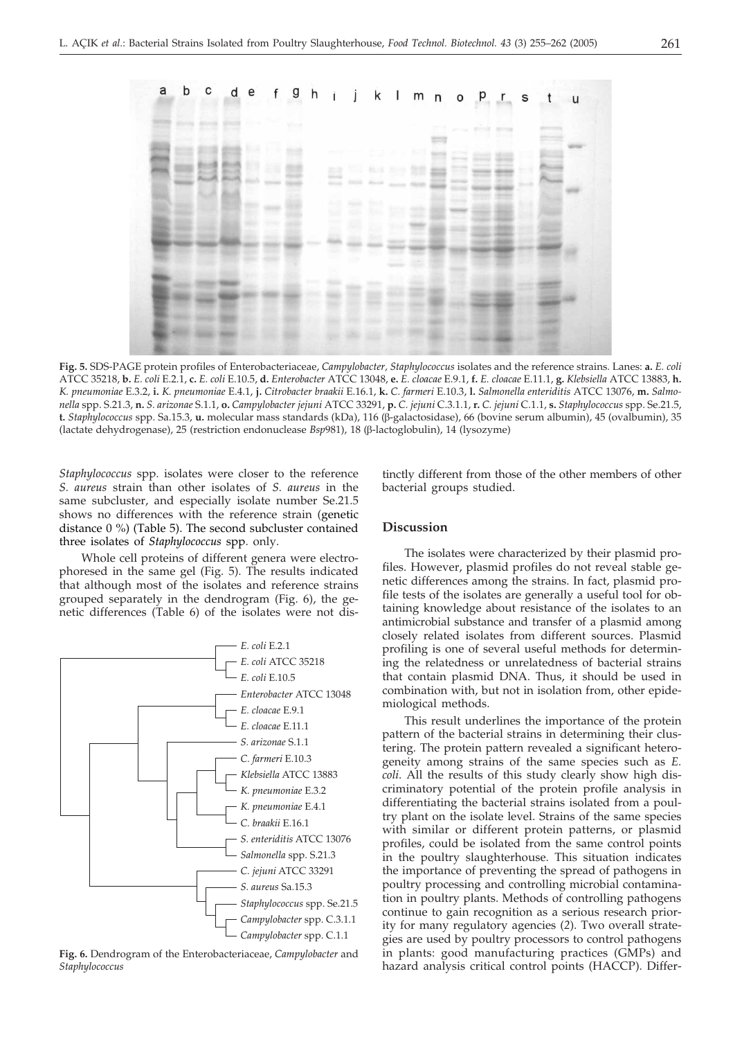

**Fig. 5.** SDS-PAGE protein profiles of Enterobacteriaceae, *Campylobacter, Staphylococcus* isolates and the reference strains. Lanes: **a.** *E. coli* ATCC 35218, b. E. coli E.2.1, c. E. coli E.10.5, d. Enterobacter ATCC 13048, e. E. cloacae E.9.1, f. E. cloacae E.11.1, g. Klebsiella ATCC 13883, h. *K. pneumoniae* E.3.2, **i.** *K. pneumoniae* E.4.1, **j.** *Citrobacter braakii* E.16.1, **k.** *C. farmeri* E.10.3, **l.** *Salmonella enteriditis* ATCC 13076, **m.** *Salmo*nella spp. S.21.3, n. S. arizonae S.1.1, o. Campylobacter jejuni ATCC 33291, p. C. jejuni C.3.1.1, r. C. jejuni C.1.1, s. Staphylococcus spp. Se.21.5, **t.** *Staphylococcus* spp. Sa.15.3, **u.** molecular mass standards (kDa), 116 (b-galactosidase), 66 (bovine serum albumin), 45 (ovalbumin), 35 (lactate dehydrogenase), 25 (restriction endonuclease *Bsp*981), 18 (b-lactoglobulin), 14 (lysozyme)

*Staphylococcus* spp. isolates were closer to the reference *S. aureus* strain than other isolates of *S. aureus* in the same subcluster, and especially isolate number Se.21.5 shows no differences with the reference strain (genetic distance 0 %) (Table 5). The second subcluster contained three isolates of *Staphylococcus* spp. only.

Whole cell proteins of different genera were electrophoresed in the same gel (Fig. 5). The results indicated that although most of the isolates and reference strains grouped separately in the dendrogram (Fig. 6), the genetic differences (Table 6) of the isolates were not dis-



**Fig. 6.** Dendrogram of the Enterobacteriaceae, *Campylobacter* and *Staphylococcus*

tinctly different from those of the other members of other bacterial groups studied.

## **Discussion**

The isolates were characterized by their plasmid profiles. However, plasmid profiles do not reveal stable genetic differences among the strains. In fact, plasmid profile tests of the isolates are generally a useful tool for obtaining knowledge about resistance of the isolates to an antimicrobial substance and transfer of a plasmid among closely related isolates from different sources. Plasmid profiling is one of several useful methods for determining the relatedness or unrelatedness of bacterial strains that contain plasmid DNA. Thus, it should be used in combination with, but not in isolation from, other epidemiological methods.

This result underlines the importance of the protein pattern of the bacterial strains in determining their clustering. The protein pattern revealed a significant heterogeneity among strains of the same species such as *E. coli*. All the results of this study clearly show high discriminatory potential of the protein profile analysis in differentiating the bacterial strains isolated from a poultry plant on the isolate level. Strains of the same species with similar or different protein patterns, or plasmid profiles, could be isolated from the same control points in the poultry slaughterhouse. This situation indicates the importance of preventing the spread of pathogens in poultry processing and controlling microbial contamination in poultry plants. Methods of controlling pathogens continue to gain recognition as a serious research priority for many regulatory agencies (*2*). Two overall strategies are used by poultry processors to control pathogens in plants: good manufacturing practices (GMPs) and hazard analysis critical control points (HACCP). Differ